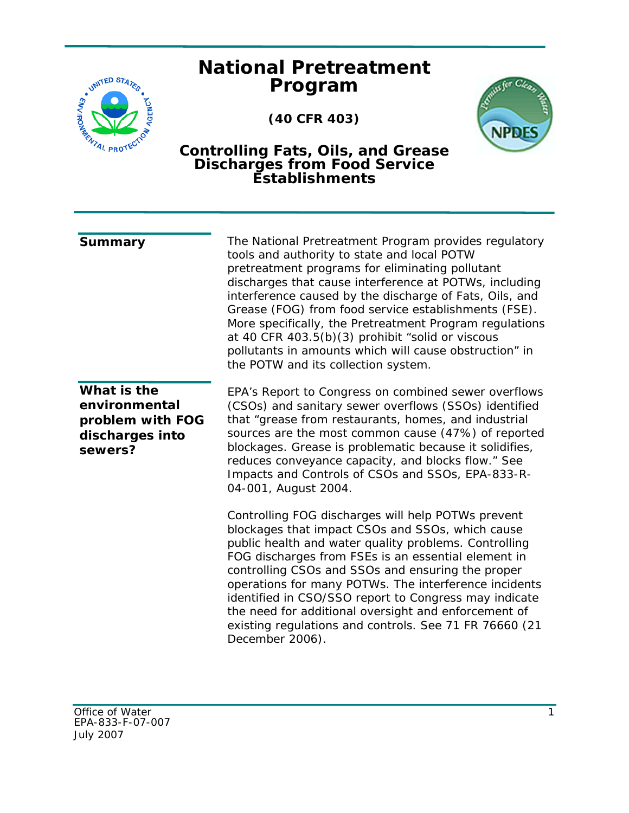## **National Pretreatment Program**

**(40 CFR 403)** 



## **Controlling Fats, Oils, and Grease Discharges from Food Service Establishments**

| Summary                                                                        | The National Pretreatment Program provides regulatory<br>tools and authority to state and local POTW<br>pretreatment programs for eliminating pollutant<br>discharges that cause interference at POTWs, including<br>interference caused by the discharge of Fats, Oils, and<br>Grease (FOG) from food service establishments (FSE).<br>More specifically, the Pretreatment Program regulations<br>at 40 CFR 403.5(b)(3) prohibit "solid or viscous<br>pollutants in amounts which will cause obstruction" in<br>the POTW and its collection system. |
|--------------------------------------------------------------------------------|------------------------------------------------------------------------------------------------------------------------------------------------------------------------------------------------------------------------------------------------------------------------------------------------------------------------------------------------------------------------------------------------------------------------------------------------------------------------------------------------------------------------------------------------------|
| What is the<br>environmental<br>problem with FOG<br>discharges into<br>sewers? | EPA's Report to Congress on combined sewer overflows<br>(CSOs) and sanitary sewer overflows (SSOs) identified<br>that "grease from restaurants, homes, and industrial<br>sources are the most common cause (47%) of reported<br>blockages. Grease is problematic because it solidifies,<br>reduces conveyance capacity, and blocks flow." See<br>Impacts and Controls of CSOs and SSOs, EPA-833-R-<br>04-001, August 2004.                                                                                                                           |
|                                                                                | Controlling FOG discharges will help POTWs prevent<br>blockages that impact CSOs and SSOs, which cause<br>public health and water quality problems. Controlling<br>FOG discharges from FSEs is an essential element in<br>controlling CSOs and SSOs and ensuring the proper<br>operations for many POTWs. The interference incidents<br>identified in CSO/SSO report to Congress may indicate<br>the need for additional oversight and enforcement of<br>existing regulations and controls. See 71 FR 76660 (21<br>December 2006).                   |

JWITED STATES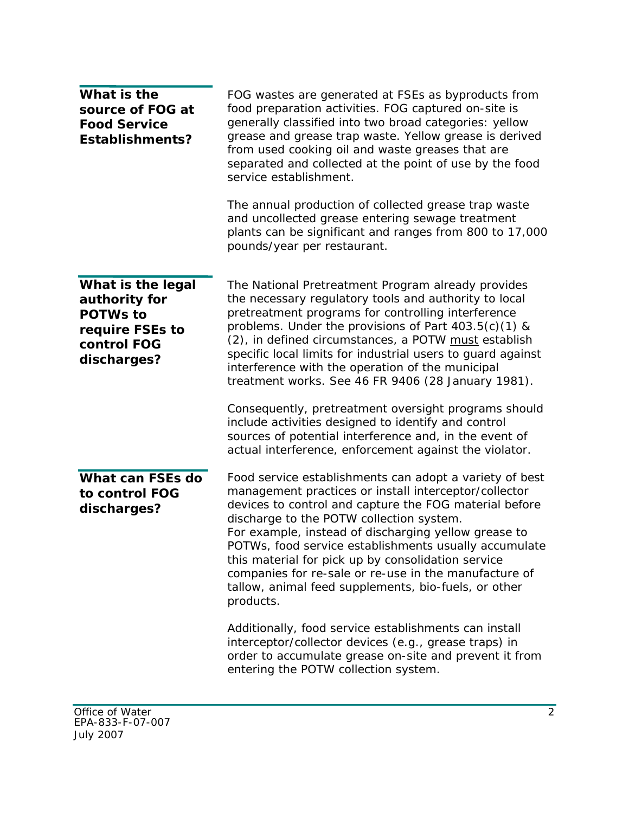| What is the<br>source of FOG at<br><b>Food Service</b><br><b>Establishments?</b>                       | FOG wastes are generated at FSEs as byproducts from<br>food preparation activities. FOG captured on-site is<br>generally classified into two broad categories: yellow<br>grease and grease trap waste. Yellow grease is derived<br>from used cooking oil and waste greases that are<br>separated and collected at the point of use by the food<br>service establishment.<br>The annual production of collected grease trap waste<br>and uncollected grease entering sewage treatment<br>plants can be significant and ranges from 800 to 17,000<br>pounds/year per restaurant.                                                                                                                  |
|--------------------------------------------------------------------------------------------------------|-------------------------------------------------------------------------------------------------------------------------------------------------------------------------------------------------------------------------------------------------------------------------------------------------------------------------------------------------------------------------------------------------------------------------------------------------------------------------------------------------------------------------------------------------------------------------------------------------------------------------------------------------------------------------------------------------|
| What is the legal<br>authority for<br><b>POTWs to</b><br>require FSEs to<br>control FOG<br>discharges? | The National Pretreatment Program already provides<br>the necessary regulatory tools and authority to local<br>pretreatment programs for controlling interference<br>problems. Under the provisions of Part $403.5(c)(1)$ &<br>(2), in defined circumstances, a POTW must establish<br>specific local limits for industrial users to guard against<br>interference with the operation of the municipal<br>treatment works. See 46 FR 9406 (28 January 1981).<br>Consequently, pretreatment oversight programs should<br>include activities designed to identify and control<br>sources of potential interference and, in the event of<br>actual interference, enforcement against the violator. |
| What can FSEs do<br>to control FOG<br>discharges?                                                      | Food service establishments can adopt a variety of best<br>management practices or install interceptor/collector<br>devices to control and capture the FOG material before<br>discharge to the POTW collection system.<br>For example, instead of discharging yellow grease to<br>POTWs, food service establishments usually accumulate<br>this material for pick up by consolidation service<br>companies for re-sale or re-use in the manufacture of<br>tallow, animal feed supplements, bio-fuels, or other<br>products.                                                                                                                                                                     |
|                                                                                                        | Additionally, food service establishments can install<br>interceptor/collector devices (e.g., grease traps) in<br>order to accumulate grease on-site and prevent it from<br>entering the POTW collection system.                                                                                                                                                                                                                                                                                                                                                                                                                                                                                |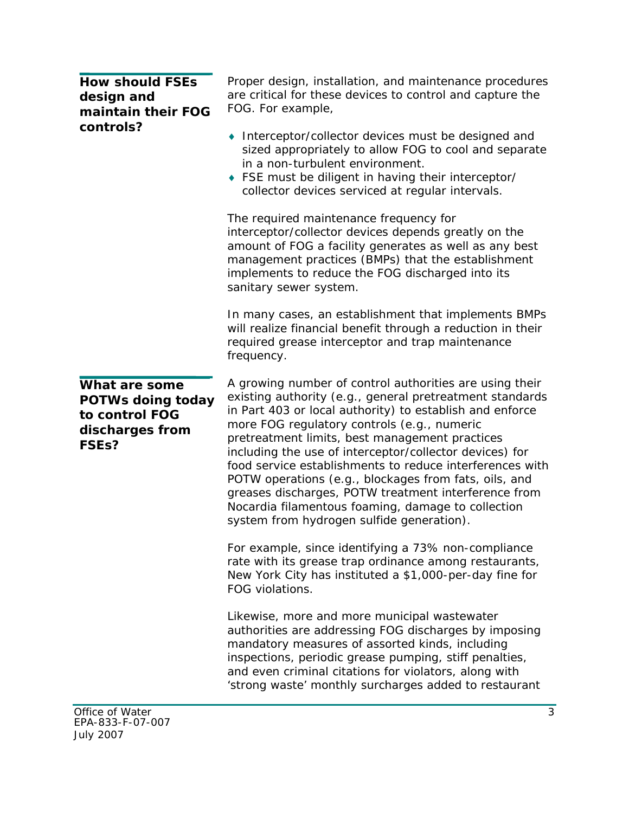**How should FSEs design and maintain their FOG controls?** 

**What are some** 

**to control FOG discharges from** 

**FSEs?** 

**POTWs doing today** 

Proper design, installation, and maintenance procedures are critical for these devices to control and capture the FOG. For example,

- ◆ Interceptor/collector devices must be designed and sized appropriately to allow FOG to cool and separate in a non-turbulent environment.
- $\bullet$  FSE must be diligent in having their interceptor/

 collector devices serviced at regular intervals. The required maintenance frequency for interceptor/collector devices depends greatly on the amount of FOG a facility generates as well as any best management practices (BMPs) that the establishment implements to reduce the FOG discharged into its sanitary sewer system.

In many cases, an establishment that implements BMPs will realize financial benefit through a reduction in their required grease interceptor and trap maintenance frequency.

A growing number of control authorities are using their existing authority (e.g., general pretreatment standards in Part 403 or local authority) to establish and enforce more FOG regulatory controls (e.g., numeric pretreatment limits, best management practices including the use of interceptor/collector devices) for food service establishments to reduce interferences with POTW operations (e.g., blockages from fats, oils, and greases discharges, POTW treatment interference from Nocardia filamentous foaming, damage to collection system from hydrogen sulfide generation).

For example, since identifying a 73% non-compliance rate with its grease trap ordinance among restaurants, New York City has instituted a \$1,000-per-day fine for FOG violations.

Likewise, more and more municipal wastewater authorities are addressing FOG discharges by imposing mandatory measures of assorted kinds, including inspections, periodic grease pumping, stiff penalties, and even criminal citations for violators, along with 'strong waste' monthly surcharges added to restaurant